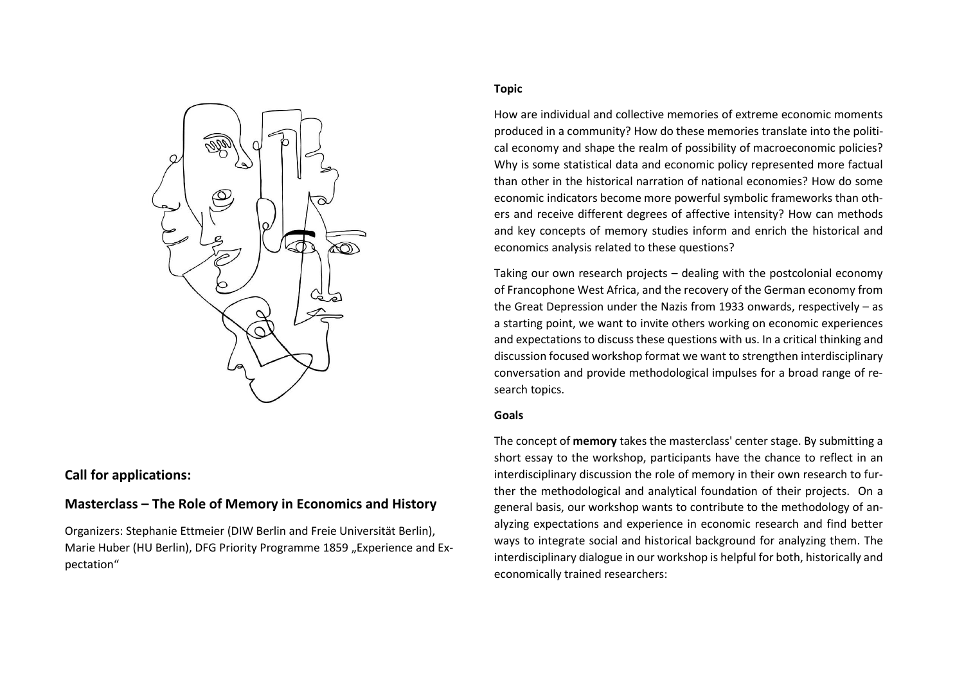

# **Call for applications:**

# **Masterclass – The Role of Memory in Economics and History**

Organizers: Stephanie Ettmeier (DIW Berlin and Freie Universität Berlin), Marie Huber (HU Berlin), DFG Priority Programme 1859 "Experience and Expectation"

## **Topic**

How are individual and collective memories of extreme economic moments produced in a community? How do these memories translate into the political economy and shape the realm of possibility of macroeconomic policies? Why is some statistical data and economic policy represented more factual than other in the historical narration of national economies? How do some economic indicators become more powerful symbolic frameworks than others and receive different degrees of affective intensity? How can methods and key concepts of memory studies inform and enrich the historical and economics analysis related to these questions?

Taking our own research projects – dealing with the postcolonial economy of Francophone West Africa, and the recovery of the German economy from the Great Depression under the Nazis from 1933 onwards, respectively – as a starting point, we want to invite others working on economic experiences and expectations to discuss these questions with us. In a critical thinking and discussion focused workshop format we want to strengthen interdisciplinary conversation and provide methodological impulses for a broad range of research topics.

#### **Goals**

The concept of **memory** takes the masterclass' center stage. By submitting a short essay to the workshop, participants have the chance to reflect in an interdisciplinary discussion the role of memory in their own research to further the methodological and analytical foundation of their projects. On a general basis, our workshop wants to contribute to the methodology of analyzing expectations and experience in economic research and find better ways to integrate social and historical background for analyzing them. The interdisciplinary dialogue in our workshop is helpful for both, historically and economically trained researchers: